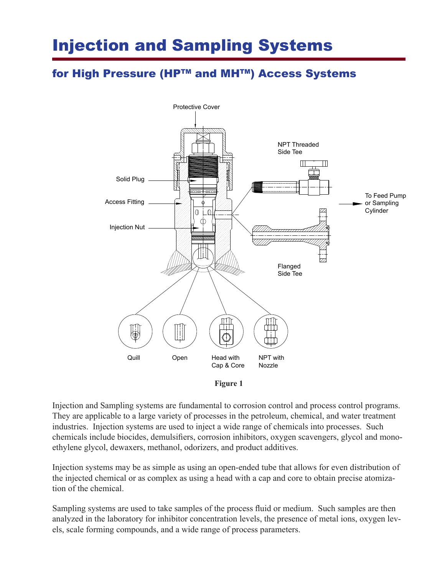# Injection and Sampling Systems

# for High Pressure (HP™ and MH™) Access Systems



**Figure 1**

Injection and Sampling systems are fundamental to corrosion control and process control programs. They are applicable to a large variety of processes in the petroleum, chemical, and water treatment industries. Injection systems are used to inject a wide range of chemicals into processes. Such chemicals include biocides, demulsifiers, corrosion inhibitors, oxygen scavengers, glycol and monoethylene glycol, dewaxers, methanol, odorizers, and product additives.

Injection systems may be as simple as using an open-ended tube that allows for even distribution of the injected chemical or as complex as using a head with a cap and core to obtain precise atomization of the chemical.

Sampling systems are used to take samples of the process fluid or medium. Such samples are then analyzed in the laboratory for inhibitor concentration levels, the presence of metal ions, oxygen levels, scale forming compounds, and a wide range of process parameters.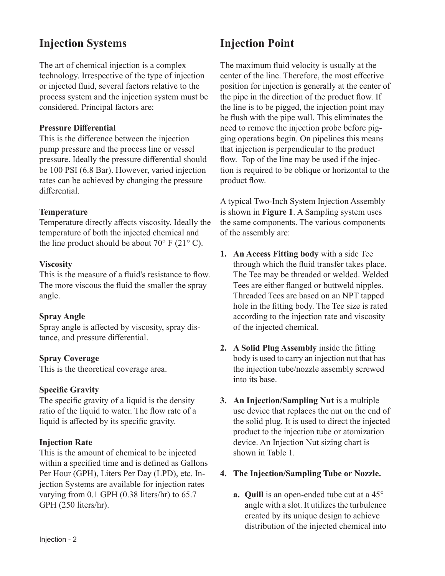# **Injection Systems**

The art of chemical injection is a complex technology. Irrespective of the type of injection or injected fluid, several factors relative to the process system and the injection system must be considered. Principal factors are:

#### **Pressure Differential**

This is the difference between the injection pump pressure and the process line or vessel pressure. Ideally the pressure differential should be 100 PSI (6.8 Bar). However, varied injection rates can be achieved by changing the pressure differential.

### **Temperature**

Temperature directly affects viscosity. Ideally the temperature of both the injected chemical and the line product should be about  $70^{\circ}$  F (21°C).

### **Viscosity**

This is the measure of a fluid's resistance to flow. The more viscous the fluid the smaller the spray angle.

## **Spray Angle**

Spray angle is affected by viscosity, spray distance, and pressure differential.

#### **Spray Coverage**

This is the theoretical coverage area.

#### **Specific Gravity**

The specific gravity of a liquid is the density ratio of the liquid to water. The flow rate of a liquid is affected by its specific gravity.

## **Injection Rate**

This is the amount of chemical to be injected within a specified time and is defined as Gallons Per Hour (GPH), Liters Per Day (LPD), etc. Injection Systems are available for injection rates varying from 0.1 GPH (0.38 liters/hr) to 65.7 GPH (250 liters/hr).

# **Injection Point**

The maximum fluid velocity is usually at the center of the line. Therefore, the most effective position for injection is generally at the center of the pipe in the direction of the product flow. If the line is to be pigged, the injection point may be flush with the pipe wall. This eliminates the need to remove the injection probe before pigging operations begin. On pipelines this means that injection is perpendicular to the product flow. Top of the line may be used if the injection is required to be oblique or horizontal to the product flow.

A typical Two-Inch System Injection Assembly is shown in **Figure 1**. A Sampling system uses the same components. The various components of the assembly are:

- **1. An Access Fitting body** with a side Tee through which the fluid transfer takes place. The Tee may be threaded or welded. Welded Tees are either flanged or buttweld nipples. Threaded Tees are based on an NPT tapped hole in the fitting body. The Tee size is rated according to the injection rate and viscosity of the injected chemical.
- **2. A Solid Plug Assembly** inside the fitting body is used to carry an injection nut that has the injection tube/nozzle assembly screwed into its base.
- **3. An Injection/Sampling Nut** is a multiple use device that replaces the nut on the end of the solid plug. It is used to direct the injected product to the injection tube or atomization device. An Injection Nut sizing chart is shown in Table 1.

## **4. The Injection/Sampling Tube or Nozzle.**

**a. Quill** is an open-ended tube cut at a 45° angle with a slot. It utilizes the turbulence created by its unique design to achieve distribution of the injected chemical into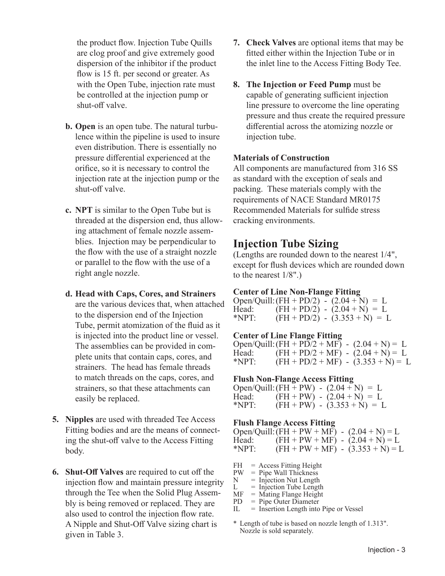the product flow. Injection Tube Quills are clog proof and give extremely good dispersion of the inhibitor if the product flow is 15 ft. per second or greater. As with the Open Tube, injection rate must be controlled at the injection pump or shut-off valve.

- **b. Open** is an open tube. The natural turbulence within the pipeline is used to insure even distribution. There is essentially no pressure differential experienced at the orifice, so it is necessary to control the injection rate at the injection pump or the shut-off valve.
- **c. NPT** is similar to the Open Tube but is threaded at the dispersion end, thus allowing attachment of female nozzle assemblies. Injection may be perpendicular to the flow with the use of a straight nozzle or parallel to the flow with the use of a right angle nozzle.
- **d. Head with Caps, Cores, and Strainers**  are the various devices that, when attached to the dispersion end of the Injection Tube, permit atomization of the fluid as it is injected into the product line or vessel. The assemblies can be provided in complete units that contain caps, cores, and strainers. The head has female threads to match threads on the caps, cores, and strainers, so that these attachments can easily be replaced.
- **5. Nipples** are used with threaded Tee Access Fitting bodies and are the means of connecting the shut-off valve to the Access Fitting body.
- **6. Shut-Off Valves** are required to cut off the injection flow and maintain pressure integrity through the Tee when the Solid Plug Assembly is being removed or replaced. They are also used to control the injection flow rate. A Nipple and Shut-Off Valve sizing chart is given in Table 3.
- **7. Check Valves** are optional items that may be fitted either within the Injection Tube or in the inlet line to the Access Fitting Body Tee.
- **8. The Injection or Feed Pump** must be capable of generating sufficient injection line pressure to overcome the line operating pressure and thus create the required pressure differential across the atomizing nozzle or injection tube.

#### **Materials of Construction**

All components are manufactured from 316 SS as standard with the exception of seals and packing. These materials comply with the requirements of NACE Standard MR0175 Recommended Materials for sulfide stress cracking environments.

# **Injection Tube Sizing**

(Lengths are rounded down to the nearest 1/4", except for flush devices which are rounded down to the nearest 1/8".)

#### **Center of Line Non-Flange Fitting**

Open/Quill: (FH + PD/2) -  $(2.04 + N) = L$ Head:  $(FH + PD/2) - (2.04 + N) = L$ \*NPT:  $(FH + PD/2) - (3.353 + N) = L$ 

#### **Center of Line Flange Fitting**

Open/Quill:  $(FH + PD/2 + MF) - (2.04 + N) = L$ Head:  $(FH + PD/2 + MF) - (2.04 + N) = L$ <br>\*NPT:  $(FH + PD/2 + MF) - (3.353 + N) = 1$  $(FH + PD/2 + MF) - (3.353 + N) = L$ 

#### **Flush Non-Flange Access Fitting**

 $Open/Quill: (FH + PW) - (2.04 + N) = L$ Head: (FH + PW) -  $(2.04 + N) = L$ \*NPT:  $(FH + PW) - (3.353 + N) = L$ 

#### **Flush Flange Access Fitting**

Open/Quill:  $(FH + PW + MF) - (2.04 + N) = L$ Head:  $(H + PW + MF) - (2.04 + N) = L$ <br>\*NPT:  $(H + PW + MF) - (3.353 + N) = I$  $(FH + PW + MF) - (3.353 + N) = L$ 

- $FH = Access Fitting Height$ <br> $PW = Pipe Wall Thickness$
- $PW = Pipe Wall Thickness  
\nN = Injection Nut Length$
- $N = Injection$  Nut Length<br> $L = Injection$  Tube Length
- $=$  Injection Tube Length
- $MF = M \times 1$ <br>PD = Pipe Outer Diameter  $=$  Pipe Outer Diameter
- $IL = Insertion Length into pipe or Vessel$

\* Length of tube is based on nozzle length of 1.313". Nozzle is sold separately.